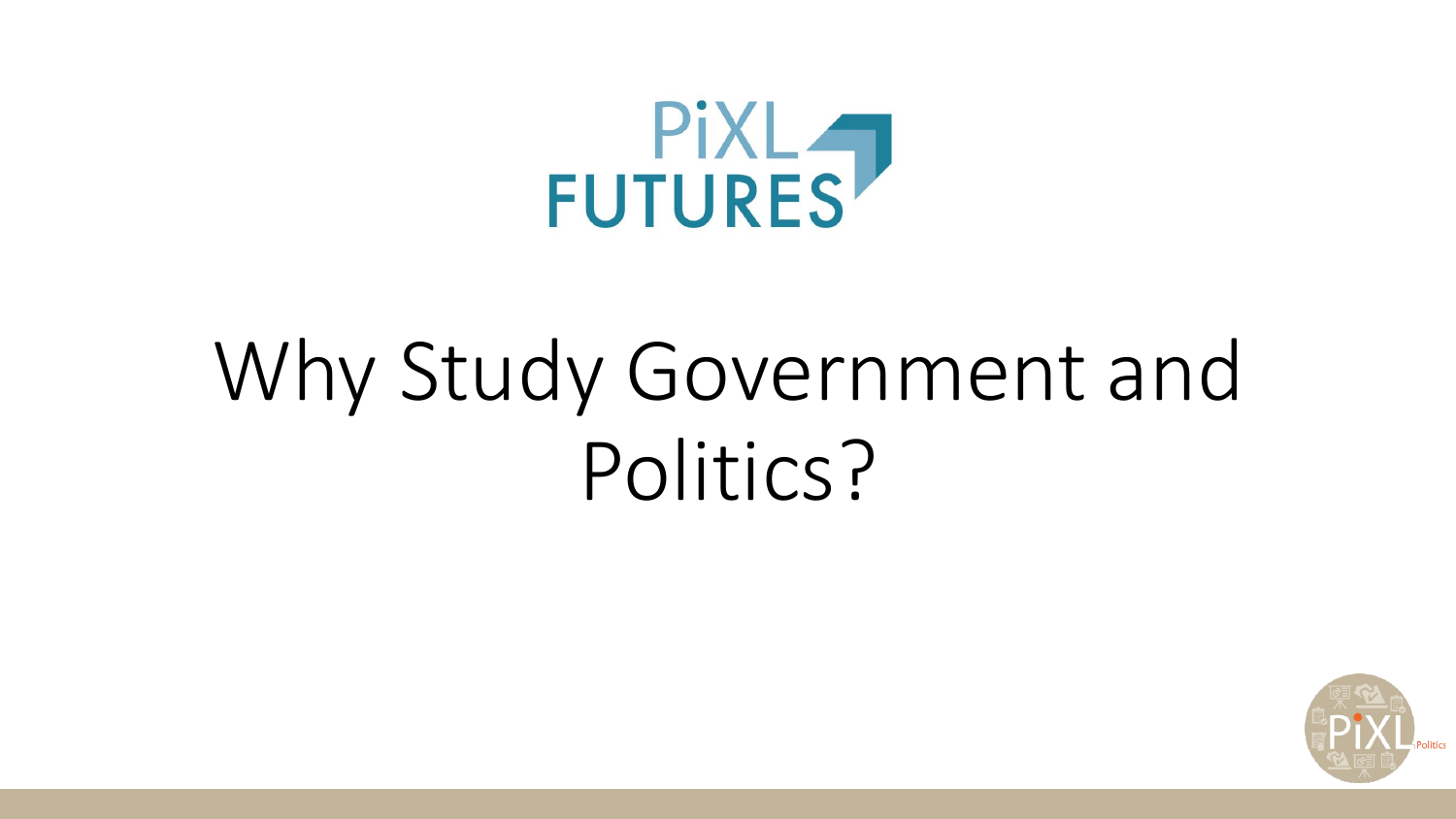

## Why Study Government and Politics?

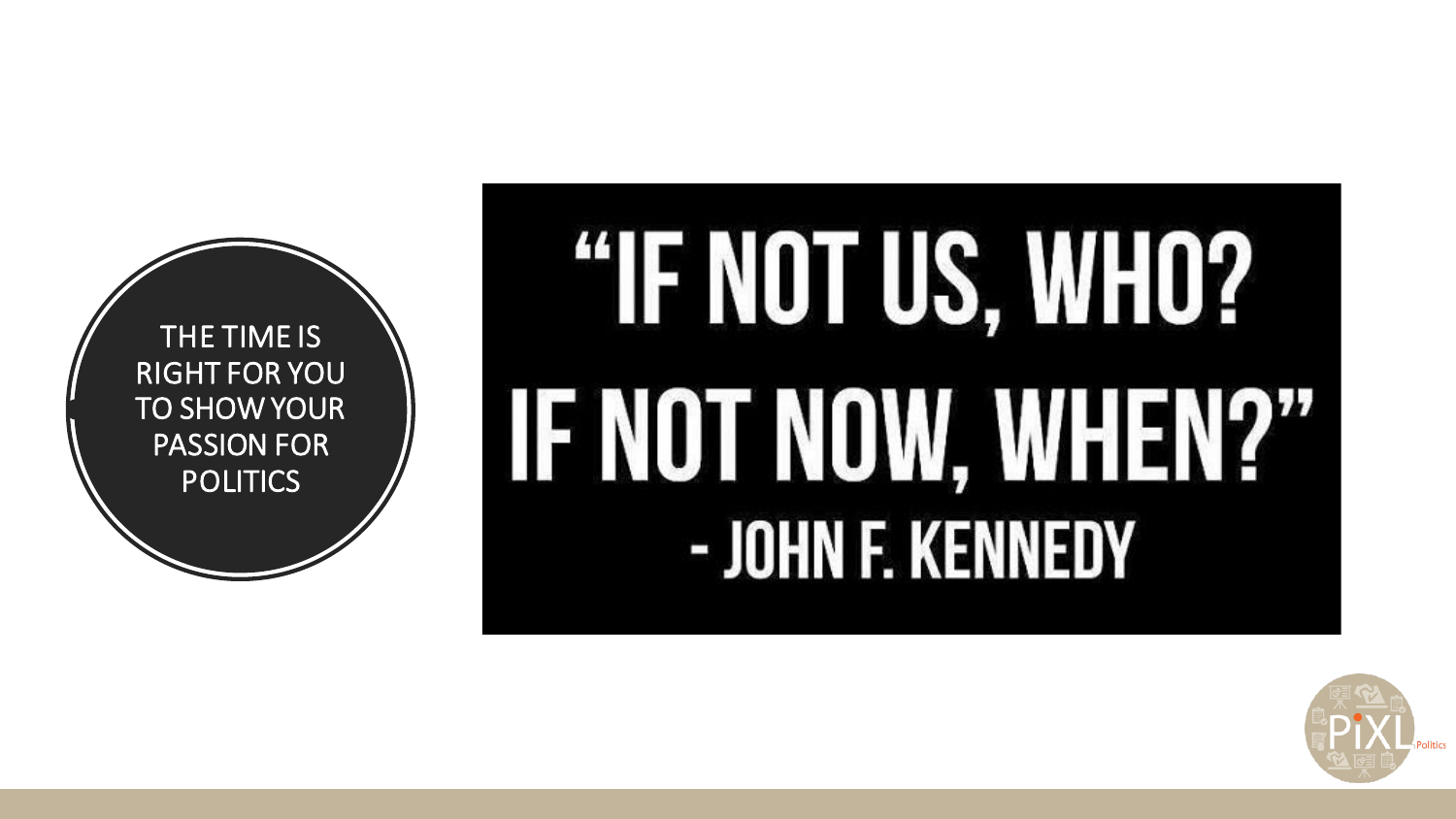

# "IF NOT US, WHO? **IF NOT NOW, WHEN?"** - JOHN F. KENNEDY

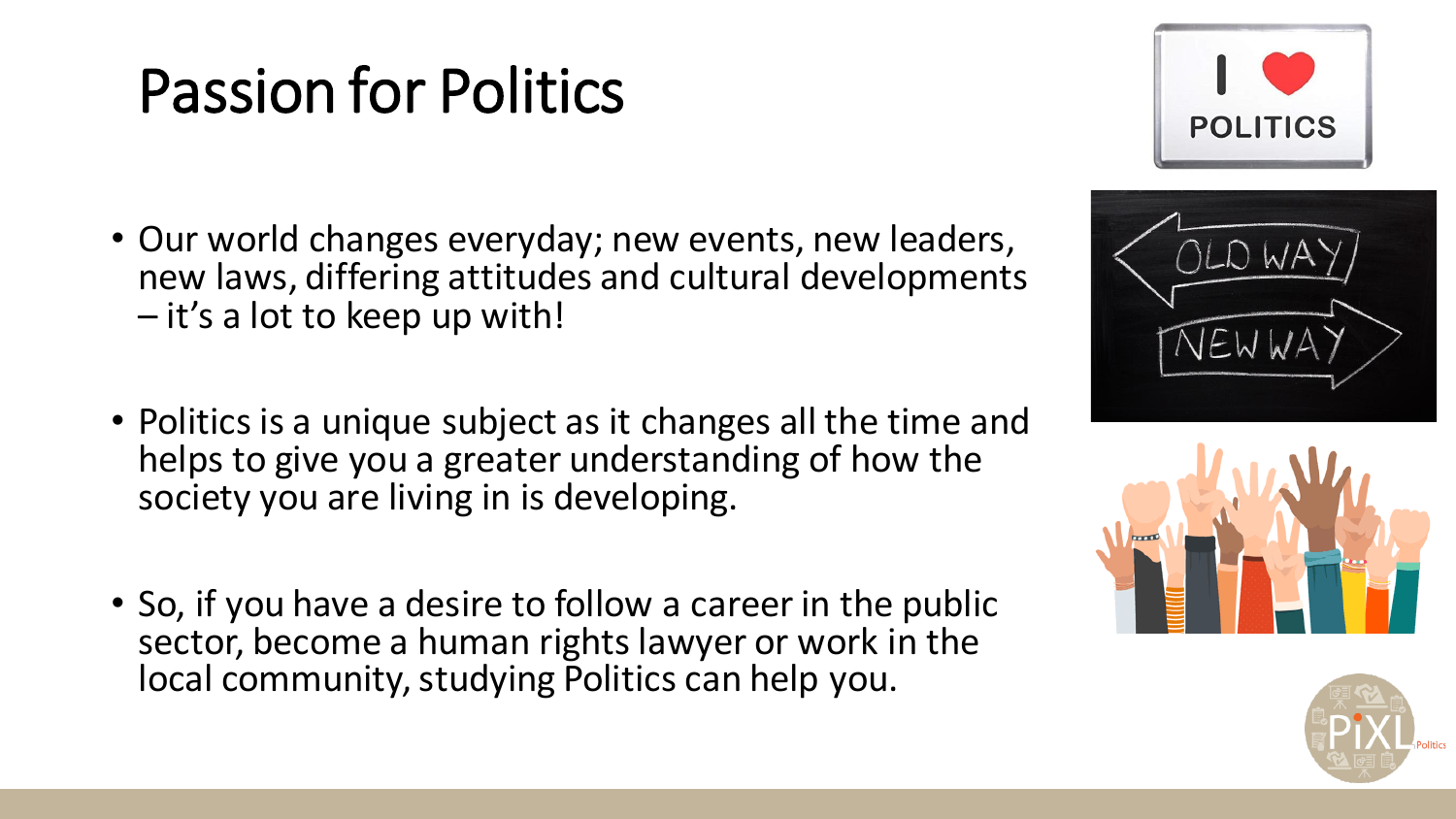#### Passion for Politics

- Our world changes everyday; new events, new leaders, new laws, differing attitudes and cultural developments – it's a lot to keep up with!
- Politics is a unique subject as it changes all the time and helps to give you a greater understanding of how the society you are living in is developing.
- So, if you have a desire to follow a career in the public sector, become a human rights lawyer or work in the local community, studying Politics can help you.







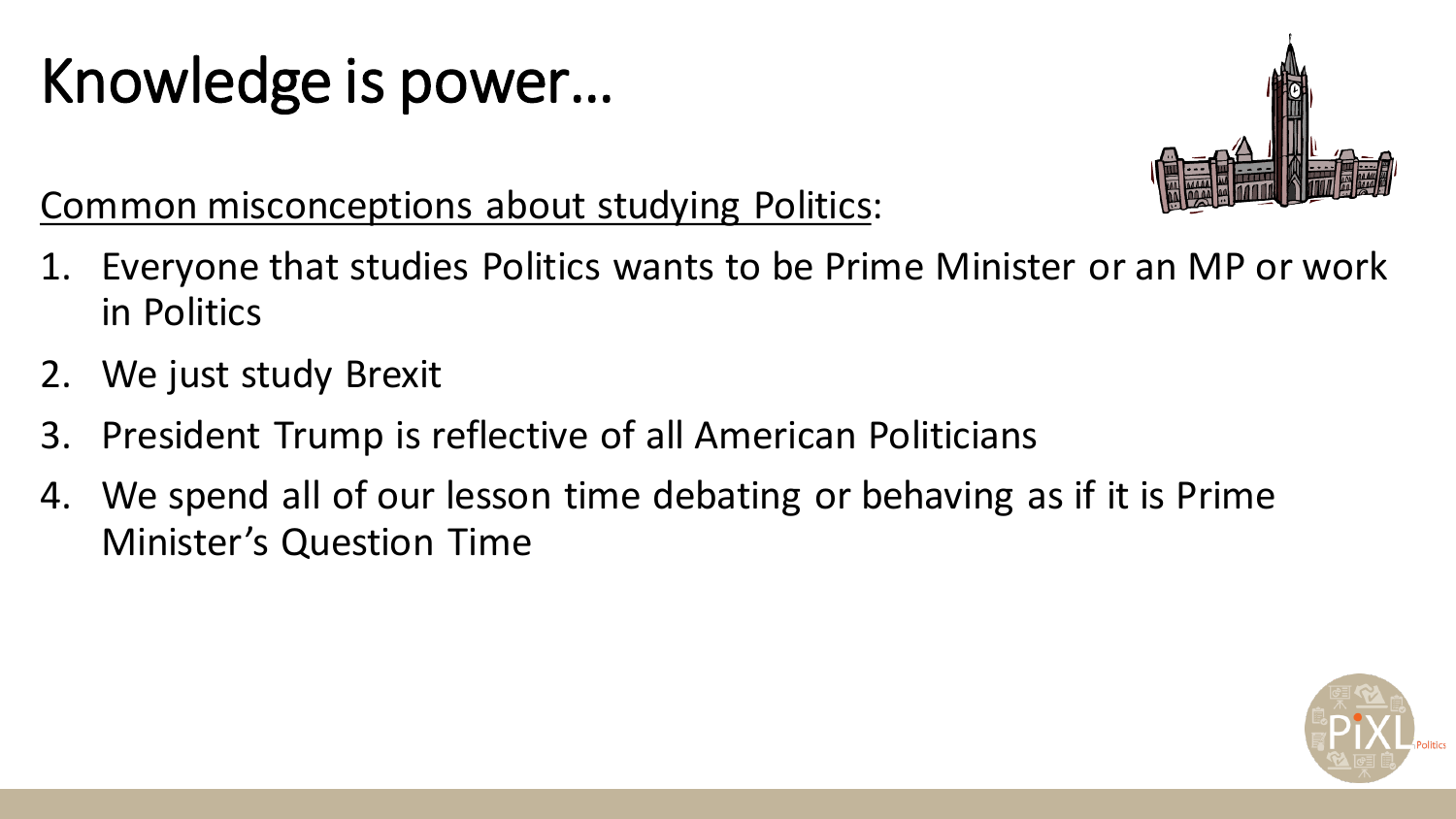#### Knowledge is power…



Common misconceptions about studying Politics:

- 1. Everyone that studies Politics wants to be Prime Minister or an MP or work in Politics
- 2. We just study Brexit
- 3. President Trump is reflective of all American Politicians
- 4. We spend all of our lesson time debating or behaving as if it is Prime Minister's Question Time

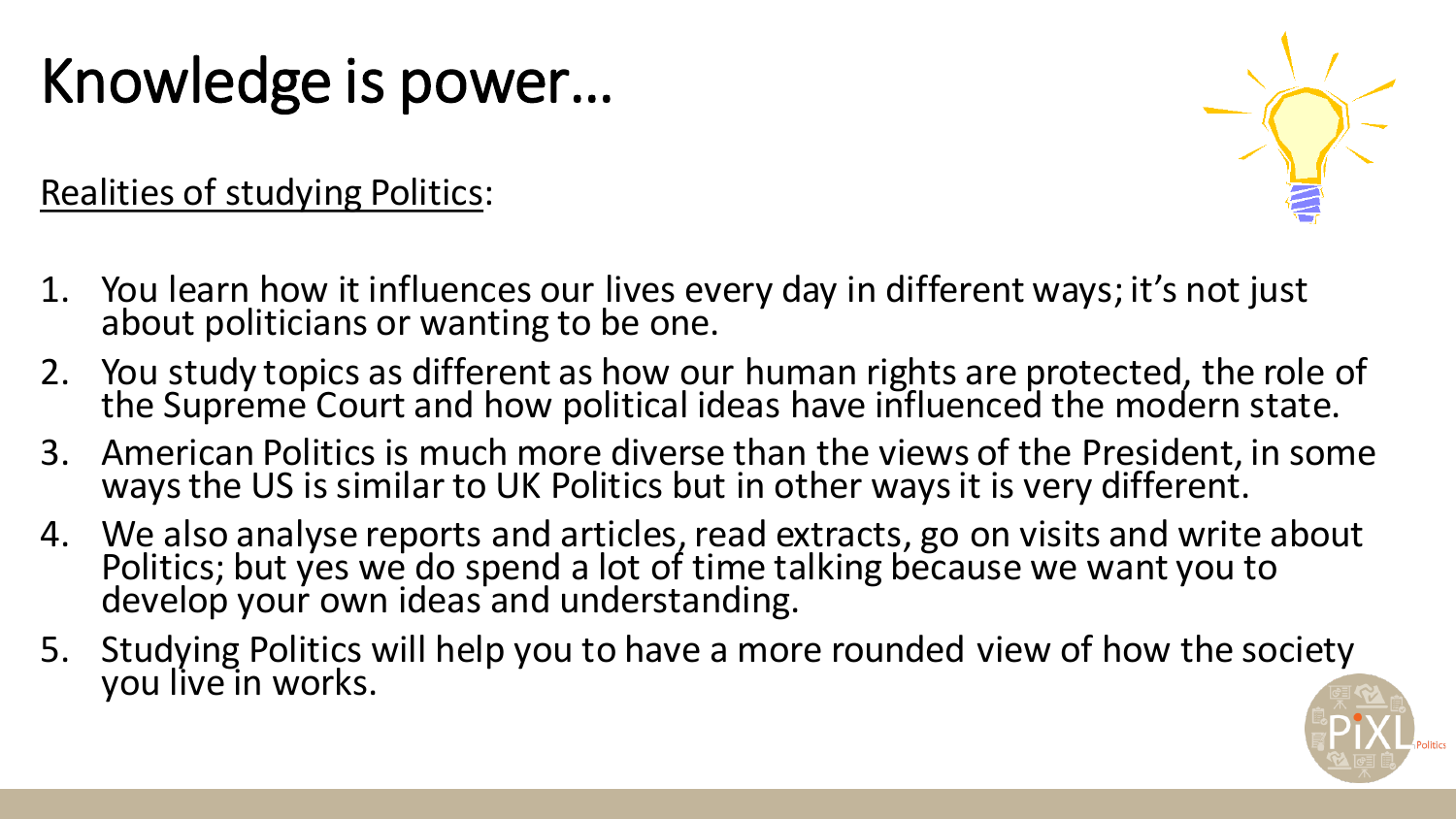#### Knowledge is power…

Realities of studying Politics:



- 2. You study topics as different as how our human rights are protected, the role of the Supreme Court and how political ideas have influenced the modern state.
- 3. American Politics is much more diverse than the views of the President, in some ways the US is similar to UK Politics but in other ways it is very different.
- 4. We also analyse reports and articles, read extracts, go on visits and write about Politics; but yes we do spend a lot of time talking because we want you to develop your own ideas and understanding.
- 5. Studying Politics will help you to have a more rounded view of how the society you live in works.

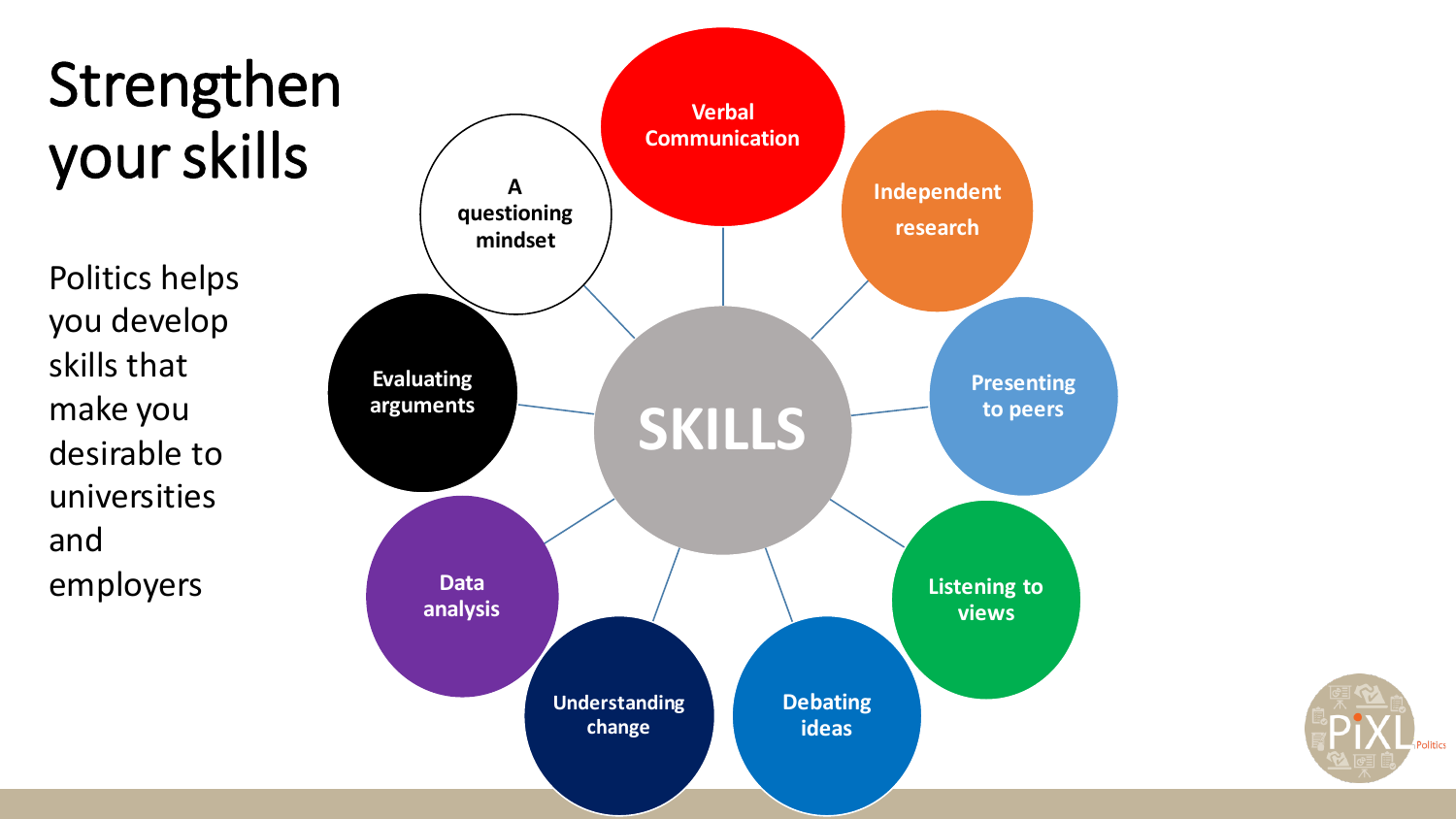#### Strengthen your skills

Politics helps you develop skills that make you desirable to universities and employers



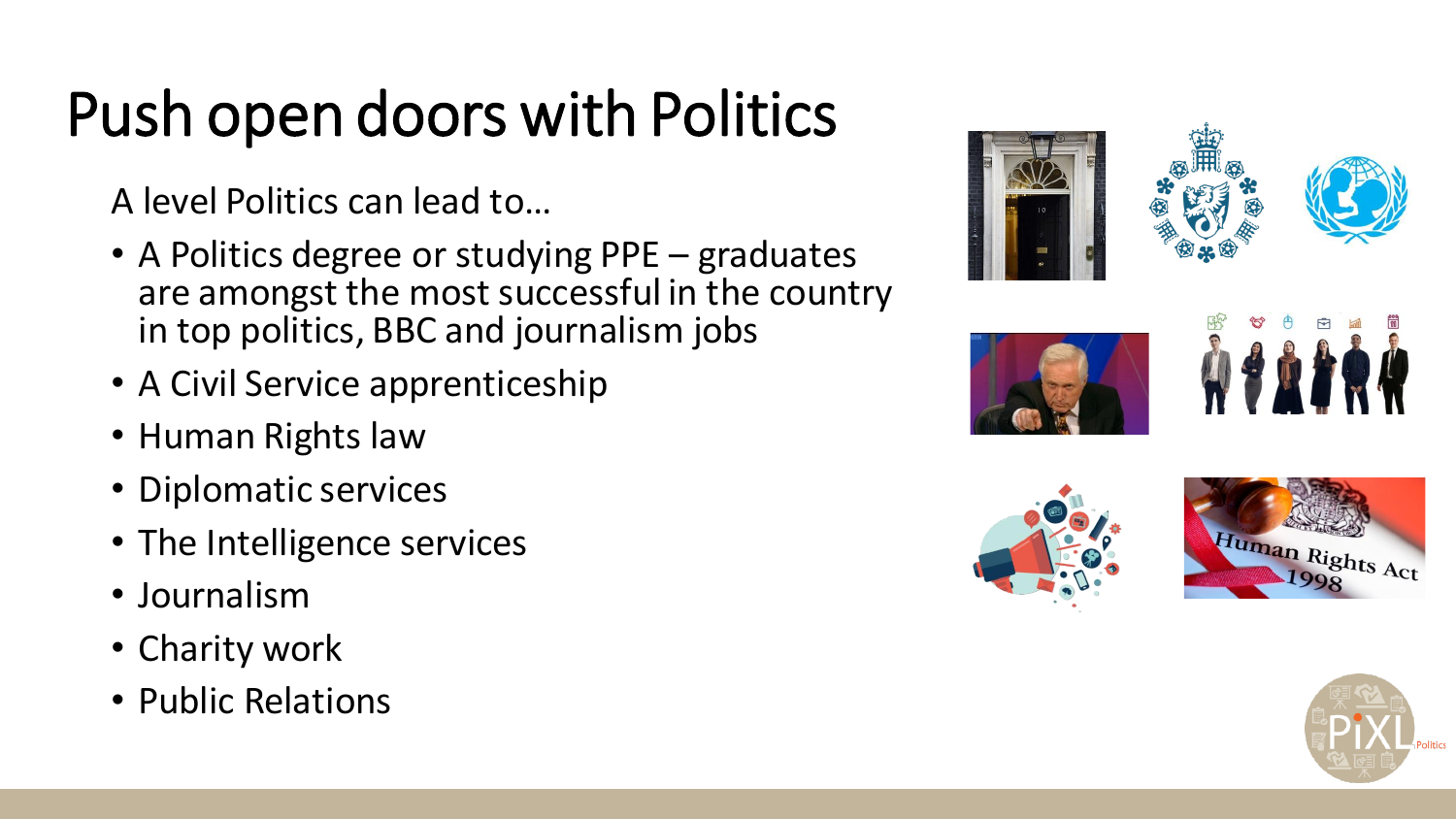### Push open doors with Politics

A level Politics can lead to…

- A Politics degree or studying PPE graduates are amongst the most successful in the country in top politics, BBC and journalism jobs
- A Civil Service apprenticeship
- Human Rights law
- Diplomatic services
- The Intelligence services
- Journalism
- Charity work
- Public Relations













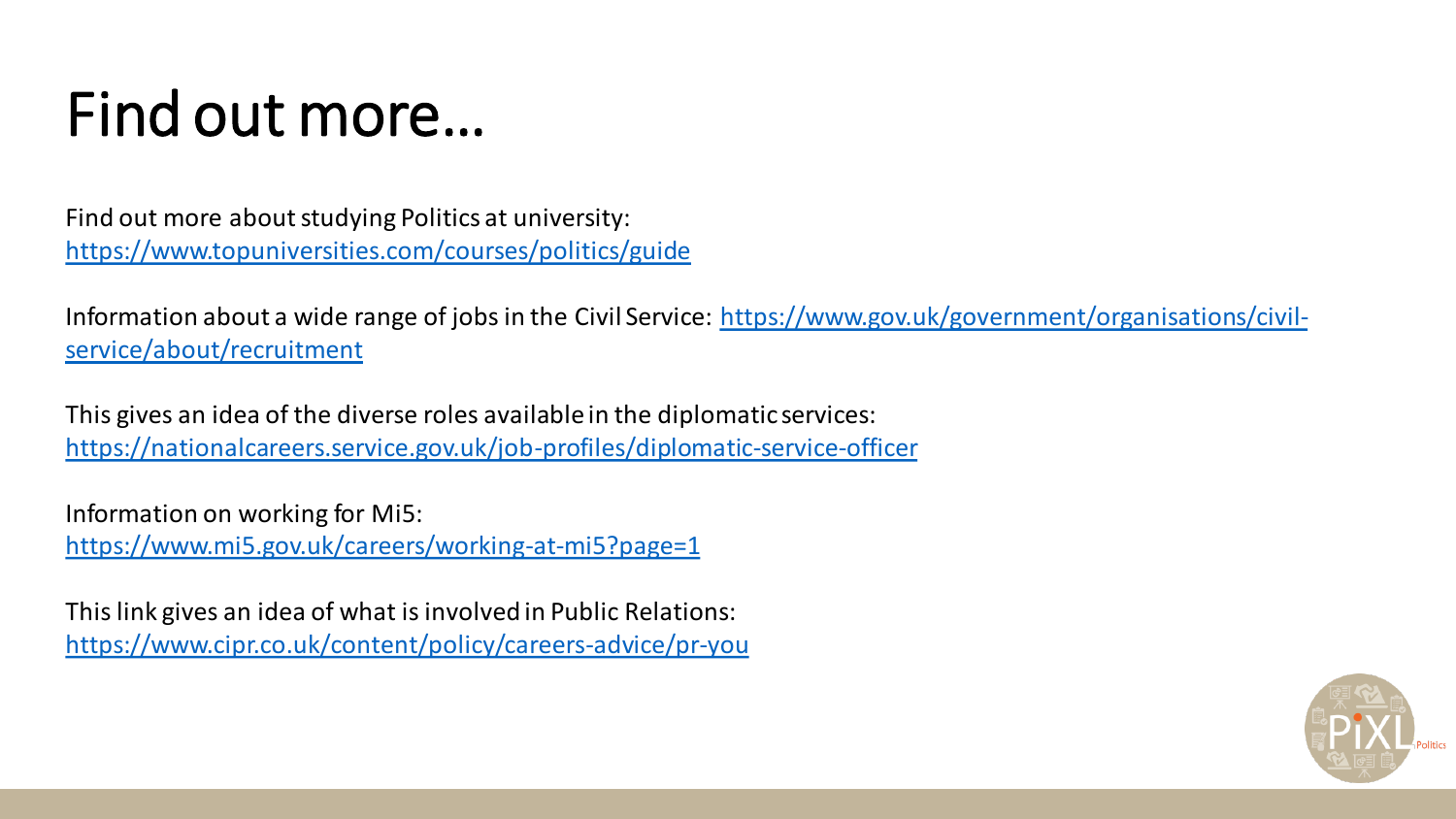#### Find out more…

Find out more about studying Politics at university: <https://www.topuniversities.com/courses/politics/guide>

[Information about a wide range of jobs in the Civil Service: https://www.gov.uk/government/organisations/civil](https://www.gov.uk/government/organisations/civil-service/about/recruitment)service/about/recruitment

This gives an idea of the diverse roles available in the diplomatic services: <https://nationalcareers.service.gov.uk/job-profiles/diplomatic-service-officer>

Information on working for Mi5: <https://www.mi5.gov.uk/careers/working-at-mi5?page=1>

This link gives an idea of what is involved in Public Relations: <https://www.cipr.co.uk/content/policy/careers-advice/pr-you>